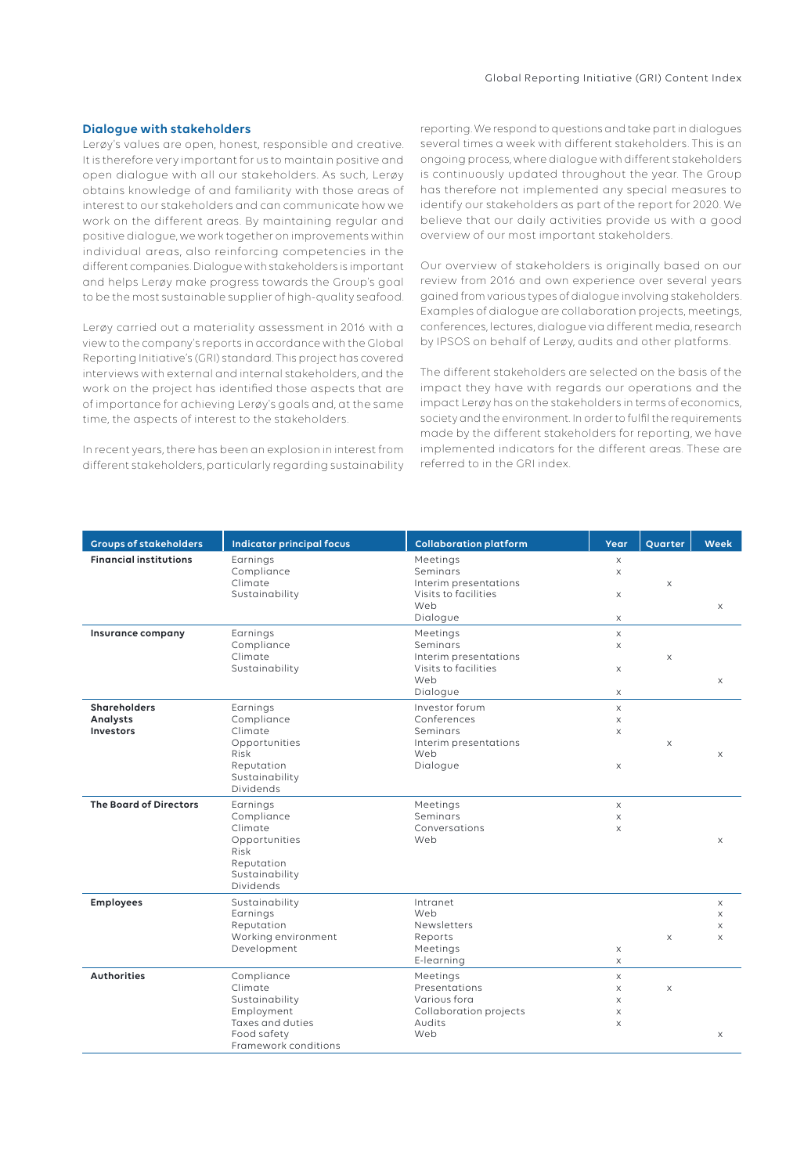## Global Reporting Initiative (GRI) Content Index

## **Dialogue with stakeholders**

Lerøy's values are open, honest, responsible and creative. It is therefore very important for us to maintain positive and open dialogue with all our stakeholders. As such, Lerøy obtains knowledge of and familiarity with those areas of interest to our stakeholders and can communicate how we work on the different areas. By maintaining regular and positive dialogue, we work together on improvements within individual areas, also reinforcing competencies in the different companies. Dialogue with stakeholders is important and helps Lerøy make progress towards the Group's goal to be the most sustainable supplier of high-quality seafood.

Lerøy carried out a materiality assessment in 2016 with a view to the company's reports in accordance with the Global Reporting Initiative's (GRI) standard. This project has covered interviews with external and internal stakeholders, and the work on the project has identified those aspects that are of importance for achieving Lerøy's goals and, at the same time, the aspects of interest to the stakeholders.

In recent years, there has been an explosion in interest from different stakeholders, particularly regarding sustainability reporting. We respond to questions and take part in dialogues several times a week with different stakeholders. This is an ongoing process, where dialogue with different stakeholders is continuously updated throughout the year. The Group has therefore not implemented any special measures to identify our stakeholders as part of the report for 2020. We believe that our daily activities provide us with a good overview of our most important stakeholders.

Our overview of stakeholders is originally based on our review from 2016 and own experience over several years gained from various types of dialogue involving stakeholders. Examples of dialogue are collaboration projects, meetings, conferences, lectures, dialogue via different media, research by IPSOS on behalf of Lerøy, audits and other platforms.

The different stakeholders are selected on the basis of the impact they have with regards our operations and the impact Lerøy has on the stakeholders in terms of economics, society and the environment. In order to fulfil the requirements made by the different stakeholders for reporting, we have implemented indicators for the different areas. These are referred to in the GRI index.

| <b>Groups of stakeholders</b>                       | <b>Indicator principal focus</b>                                                                                 | <b>Collaboration platform</b>                                                            | Year                                                       | Quarter                   | Week                    |
|-----------------------------------------------------|------------------------------------------------------------------------------------------------------------------|------------------------------------------------------------------------------------------|------------------------------------------------------------|---------------------------|-------------------------|
| <b>Financial institutions</b>                       | Earnings<br>Compliance<br>Climate<br>Sustainability                                                              | Meetings<br>Seminars<br>Interim presentations<br>Visits to facilities<br>Web<br>Dialogue | X<br>$\times$<br>X<br>X                                    | $\times$                  | $\mathsf X$             |
| Insurance company                                   | Earnings<br>Compliance<br>Climate<br>Sustainability                                                              | Meetings<br>Seminars<br>Interim presentations<br>Visits to facilities<br>Web<br>Dialogue | $\times$<br>$\times$<br>X<br>$\mathsf X$                   | X                         | $\times$                |
| <b>Shareholders</b><br>Analysts<br><b>Investors</b> | Earnings<br>Compliance<br>Climate<br>Opportunities<br>Risk<br>Reputation<br>Sustainability<br>Dividends          | Investor forum<br>Conferences<br>Seminars<br>Interim presentations<br>Web<br>Dialogue    | $\mathsf X$<br>$\mathsf X$<br>$\times$<br>X                | $\boldsymbol{\mathsf{X}}$ | $\times$                |
| <b>The Board of Directors</b>                       | Earnings<br>Compliance<br>Climate<br>Opportunities<br>Risk<br>Reputation<br>Sustainability<br>Dividends          | Meetings<br>Seminars<br>Conversations<br>Web                                             | $\times$<br>$\mathsf X$<br>$\times$                        |                           | $\times$                |
| <b>Employees</b>                                    | Sustainability<br>Earnings<br>Reputation<br>Working environment<br>Development                                   | Intranet<br>Web<br>Newsletters<br>Reports<br>Meetings<br>E-learning                      | X<br>$\times$                                              | $\times$                  | X<br>X<br>X<br>$\times$ |
| <b>Authorities</b>                                  | Compliance<br>Climate<br>Sustainability<br>Employment<br>Taxes and duties<br>Food safety<br>Framework conditions | Meetings<br>Presentations<br>Various fora<br>Collaboration projects<br>Audits<br>Web     | $\mathsf X$<br>$\mathsf X$<br>$\times$<br>X<br>$\mathsf X$ | $\boldsymbol{\mathsf{X}}$ | $\times$                |